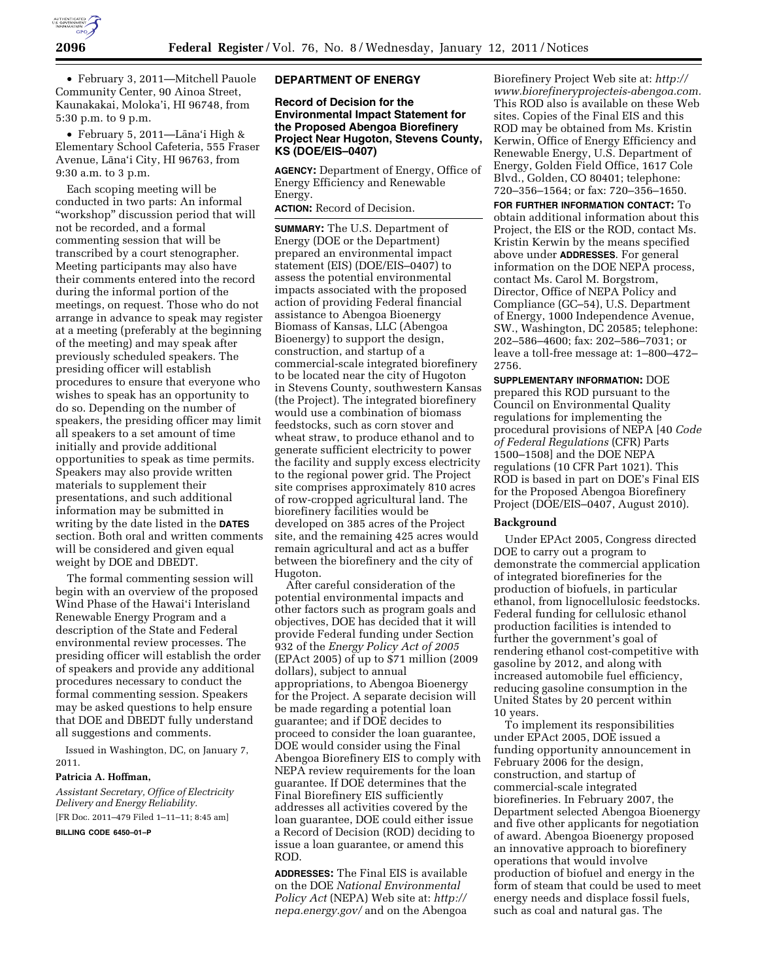

• February 3, 2011—Mitchell Pauole Community Center, 90 Ainoa Street, Kaunakakai, Moloka'i, HI 96748, from 5:30 p.m. to 9 p.m.

• February 5, 2011—Lāna'i High & Elementary School Cafeteria, 555 Fraser Avenue, Lāna'i City, HI 96763, from 9:30 a.m. to 3 p.m.

Each scoping meeting will be conducted in two parts: An informal ''workshop'' discussion period that will not be recorded, and a formal commenting session that will be transcribed by a court stenographer. Meeting participants may also have their comments entered into the record during the informal portion of the meetings, on request. Those who do not arrange in advance to speak may register at a meeting (preferably at the beginning of the meeting) and may speak after previously scheduled speakers. The presiding officer will establish procedures to ensure that everyone who wishes to speak has an opportunity to do so. Depending on the number of speakers, the presiding officer may limit all speakers to a set amount of time initially and provide additional opportunities to speak as time permits. Speakers may also provide written materials to supplement their presentations, and such additional information may be submitted in writing by the date listed in the **DATES** section. Both oral and written comments will be considered and given equal weight by DOE and DBEDT.

The formal commenting session will begin with an overview of the proposed Wind Phase of the Hawai'i Interisland Renewable Energy Program and a description of the State and Federal environmental review processes. The presiding officer will establish the order of speakers and provide any additional procedures necessary to conduct the formal commenting session. Speakers may be asked questions to help ensure that DOE and DBEDT fully understand all suggestions and comments.

Issued in Washington, DC, on January 7, 2011.

### **Patricia A. Hoffman,**

*Assistant Secretary, Office of Electricity Delivery and Energy Reliability.*  [FR Doc. 2011–479 Filed 1–11–11; 8:45 am]

**BILLING CODE 6450–01–P** 

### **DEPARTMENT OF ENERGY**

## **Record of Decision for the Environmental Impact Statement for the Proposed Abengoa Biorefinery Project Near Hugoton, Stevens County, KS (DOE/EIS–0407)**

**AGENCY:** Department of Energy, Office of Energy Efficiency and Renewable Energy.

**ACTION:** Record of Decision.

**SUMMARY:** The U.S. Department of Energy (DOE or the Department) prepared an environmental impact statement (EIS) (DOE/EIS–0407) to assess the potential environmental impacts associated with the proposed action of providing Federal financial assistance to Abengoa Bioenergy Biomass of Kansas, LLC (Abengoa Bioenergy) to support the design, construction, and startup of a commercial-scale integrated biorefinery to be located near the city of Hugoton in Stevens County, southwestern Kansas (the Project). The integrated biorefinery would use a combination of biomass feedstocks, such as corn stover and wheat straw, to produce ethanol and to generate sufficient electricity to power the facility and supply excess electricity to the regional power grid. The Project site comprises approximately 810 acres of row-cropped agricultural land. The biorefinery facilities would be developed on 385 acres of the Project site, and the remaining 425 acres would remain agricultural and act as a buffer between the biorefinery and the city of Hugoton.

After careful consideration of the potential environmental impacts and other factors such as program goals and objectives, DOE has decided that it will provide Federal funding under Section 932 of the *Energy Policy Act of 2005*  (EPAct 2005) of up to \$71 million (2009 dollars), subject to annual appropriations, to Abengoa Bioenergy for the Project. A separate decision will be made regarding a potential loan guarantee; and if DOE decides to proceed to consider the loan guarantee, DOE would consider using the Final Abengoa Biorefinery EIS to comply with NEPA review requirements for the loan guarantee. If DOE determines that the Final Biorefinery EIS sufficiently addresses all activities covered by the loan guarantee, DOE could either issue a Record of Decision (ROD) deciding to issue a loan guarantee, or amend this ROD.

**ADDRESSES:** The Final EIS is available on the DOE *National Environmental Policy Act* (NEPA) Web site at: *[http://](http://nepa.energy.gov/)  [nepa.energy.gov/](http://nepa.energy.gov/)* and on the Abengoa

Biorefinery Project Web site at: *[http://](http://www.biorefineryprojecteis-abengoa.com)  [www.biorefineryprojecteis-abengoa.com.](http://www.biorefineryprojecteis-abengoa.com)*  This ROD also is available on these Web sites. Copies of the Final EIS and this ROD may be obtained from Ms. Kristin Kerwin, Office of Energy Efficiency and Renewable Energy, U.S. Department of Energy, Golden Field Office, 1617 Cole Blvd., Golden, CO 80401; telephone: 720–356–1564; or fax: 720–356–1650.

**FOR FURTHER INFORMATION CONTACT:** To obtain additional information about this Project, the EIS or the ROD, contact Ms. Kristin Kerwin by the means specified above under **ADDRESSES**. For general information on the DOE NEPA process, contact Ms. Carol M. Borgstrom, Director, Office of NEPA Policy and Compliance (GC–54), U.S. Department of Energy, 1000 Independence Avenue, SW., Washington, DC 20585; telephone: 202–586–4600; fax: 202–586–7031; or leave a toll-free message at: 1–800–472– 2756.

**SUPPLEMENTARY INFORMATION:** DOE prepared this ROD pursuant to the Council on Environmental Quality regulations for implementing the procedural provisions of NEPA [40 *Code of Federal Regulations* (CFR) Parts 1500–1508] and the DOE NEPA regulations (10 CFR Part 1021). This ROD is based in part on DOE's Final EIS for the Proposed Abengoa Biorefinery Project (DOE/EIS–0407, August 2010).

## **Background**

Under EPAct 2005, Congress directed DOE to carry out a program to demonstrate the commercial application of integrated biorefineries for the production of biofuels, in particular ethanol, from lignocellulosic feedstocks. Federal funding for cellulosic ethanol production facilities is intended to further the government's goal of rendering ethanol cost-competitive with gasoline by 2012, and along with increased automobile fuel efficiency, reducing gasoline consumption in the United States by 20 percent within 10 years.

To implement its responsibilities under EPAct 2005, DOE issued a funding opportunity announcement in February 2006 for the design, construction, and startup of commercial-scale integrated biorefineries. In February 2007, the Department selected Abengoa Bioenergy and five other applicants for negotiation of award. Abengoa Bioenergy proposed an innovative approach to biorefinery operations that would involve production of biofuel and energy in the form of steam that could be used to meet energy needs and displace fossil fuels, such as coal and natural gas. The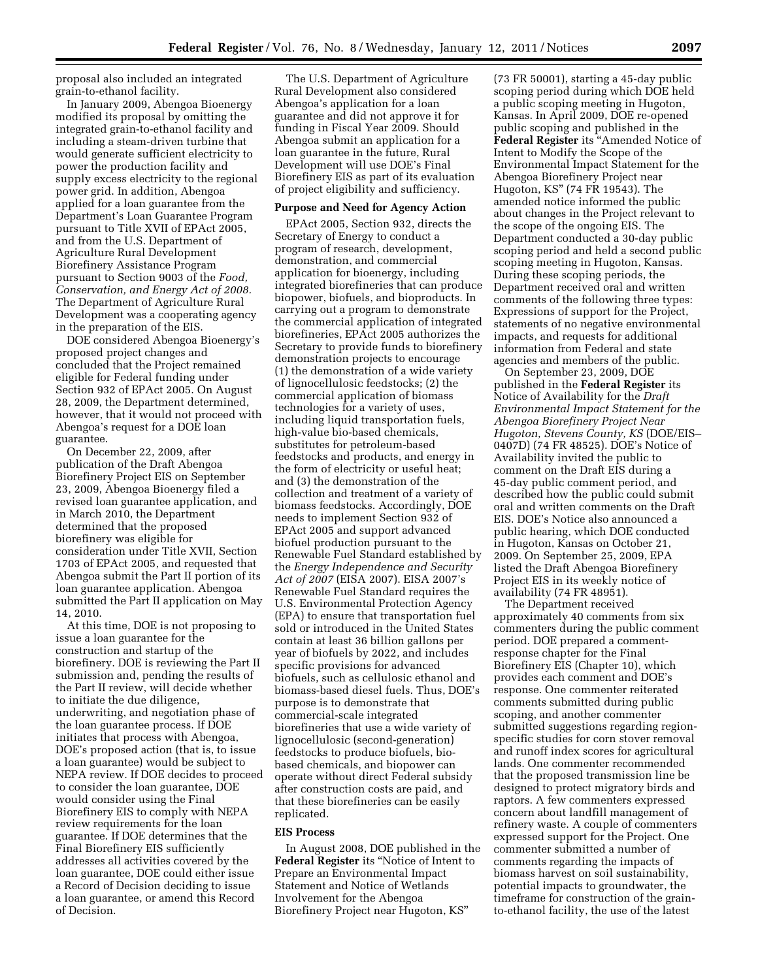proposal also included an integrated grain-to-ethanol facility.

In January 2009, Abengoa Bioenergy modified its proposal by omitting the integrated grain-to-ethanol facility and including a steam-driven turbine that would generate sufficient electricity to power the production facility and supply excess electricity to the regional power grid. In addition, Abengoa applied for a loan guarantee from the Department's Loan Guarantee Program pursuant to Title XVII of EPAct 2005, and from the U.S. Department of Agriculture Rural Development Biorefinery Assistance Program pursuant to Section 9003 of the *Food, Conservation, and Energy Act of 2008.*  The Department of Agriculture Rural Development was a cooperating agency in the preparation of the EIS.

DOE considered Abengoa Bioenergy's proposed project changes and concluded that the Project remained eligible for Federal funding under Section 932 of EPAct 2005. On August 28, 2009, the Department determined, however, that it would not proceed with Abengoa's request for a DOE loan guarantee.

On December 22, 2009, after publication of the Draft Abengoa Biorefinery Project EIS on September 23, 2009, Abengoa Bioenergy filed a revised loan guarantee application, and in March 2010, the Department determined that the proposed biorefinery was eligible for consideration under Title XVII, Section 1703 of EPAct 2005, and requested that Abengoa submit the Part II portion of its loan guarantee application. Abengoa submitted the Part II application on May 14, 2010.

At this time, DOE is not proposing to issue a loan guarantee for the construction and startup of the biorefinery. DOE is reviewing the Part II submission and, pending the results of the Part II review, will decide whether to initiate the due diligence, underwriting, and negotiation phase of the loan guarantee process. If DOE initiates that process with Abengoa, DOE's proposed action (that is, to issue a loan guarantee) would be subject to NEPA review. If DOE decides to proceed to consider the loan guarantee, DOE would consider using the Final Biorefinery EIS to comply with NEPA review requirements for the loan guarantee. If DOE determines that the Final Biorefinery EIS sufficiently addresses all activities covered by the loan guarantee, DOE could either issue a Record of Decision deciding to issue a loan guarantee, or amend this Record of Decision.

The U.S. Department of Agriculture Rural Development also considered Abengoa's application for a loan guarantee and did not approve it for funding in Fiscal Year 2009. Should Abengoa submit an application for a loan guarantee in the future, Rural Development will use DOE's Final Biorefinery EIS as part of its evaluation of project eligibility and sufficiency.

#### **Purpose and Need for Agency Action**

EPAct 2005, Section 932, directs the Secretary of Energy to conduct a program of research, development, demonstration, and commercial application for bioenergy, including integrated biorefineries that can produce biopower, biofuels, and bioproducts. In carrying out a program to demonstrate the commercial application of integrated biorefineries, EPAct 2005 authorizes the Secretary to provide funds to biorefinery demonstration projects to encourage (1) the demonstration of a wide variety of lignocellulosic feedstocks; (2) the commercial application of biomass technologies for a variety of uses, including liquid transportation fuels, high-value bio-based chemicals, substitutes for petroleum-based feedstocks and products, and energy in the form of electricity or useful heat; and (3) the demonstration of the collection and treatment of a variety of biomass feedstocks. Accordingly, DOE needs to implement Section 932 of EPAct 2005 and support advanced biofuel production pursuant to the Renewable Fuel Standard established by the *Energy Independence and Security Act of 2007* (EISA 2007). EISA 2007's Renewable Fuel Standard requires the U.S. Environmental Protection Agency (EPA) to ensure that transportation fuel sold or introduced in the United States contain at least 36 billion gallons per year of biofuels by 2022, and includes specific provisions for advanced biofuels, such as cellulosic ethanol and biomass-based diesel fuels. Thus, DOE's purpose is to demonstrate that commercial-scale integrated biorefineries that use a wide variety of lignocellulosic (second-generation) feedstocks to produce biofuels, biobased chemicals, and biopower can operate without direct Federal subsidy after construction costs are paid, and that these biorefineries can be easily replicated.

#### **EIS Process**

In August 2008, DOE published in the **Federal Register** its ''Notice of Intent to Prepare an Environmental Impact Statement and Notice of Wetlands Involvement for the Abengoa Biorefinery Project near Hugoton, KS''

(73 FR 50001), starting a 45-day public scoping period during which DOE held a public scoping meeting in Hugoton, Kansas. In April 2009, DOE re-opened public scoping and published in the **Federal Register** its ''Amended Notice of Intent to Modify the Scope of the Environmental Impact Statement for the Abengoa Biorefinery Project near Hugoton, KS'' (74 FR 19543). The amended notice informed the public about changes in the Project relevant to the scope of the ongoing EIS. The Department conducted a 30-day public scoping period and held a second public scoping meeting in Hugoton, Kansas. During these scoping periods, the Department received oral and written comments of the following three types: Expressions of support for the Project, statements of no negative environmental impacts, and requests for additional information from Federal and state agencies and members of the public.

On September 23, 2009, DOE published in the **Federal Register** its Notice of Availability for the *Draft Environmental Impact Statement for the Abengoa Biorefinery Project Near Hugoton, Stevens County, KS* (DOE/EIS– 0407D) (74 FR 48525). DOE's Notice of Availability invited the public to comment on the Draft EIS during a 45-day public comment period, and described how the public could submit oral and written comments on the Draft EIS. DOE's Notice also announced a public hearing, which DOE conducted in Hugoton, Kansas on October 21, 2009. On September 25, 2009, EPA listed the Draft Abengoa Biorefinery Project EIS in its weekly notice of availability (74 FR 48951).

The Department received approximately 40 comments from six commenters during the public comment period. DOE prepared a commentresponse chapter for the Final Biorefinery EIS (Chapter 10), which provides each comment and DOE's response. One commenter reiterated comments submitted during public scoping, and another commenter submitted suggestions regarding regionspecific studies for corn stover removal and runoff index scores for agricultural lands. One commenter recommended that the proposed transmission line be designed to protect migratory birds and raptors. A few commenters expressed concern about landfill management of refinery waste. A couple of commenters expressed support for the Project. One commenter submitted a number of comments regarding the impacts of biomass harvest on soil sustainability, potential impacts to groundwater, the timeframe for construction of the grainto-ethanol facility, the use of the latest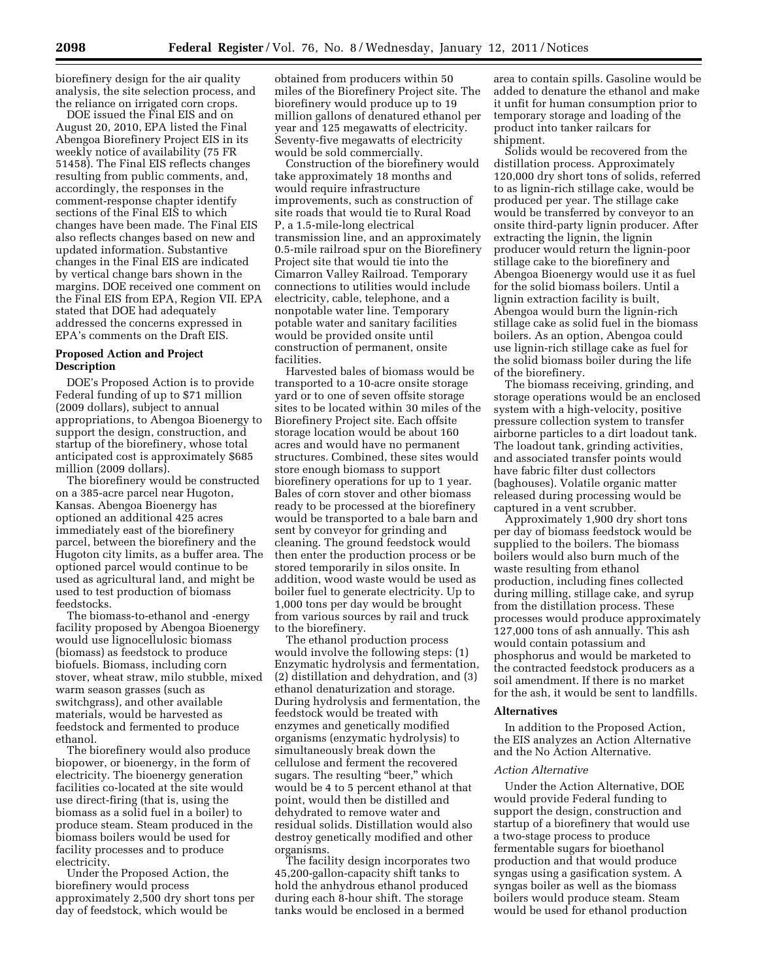biorefinery design for the air quality analysis, the site selection process, and the reliance on irrigated corn crops.

DOE issued the Final EIS and on August 20, 2010, EPA listed the Final Abengoa Biorefinery Project EIS in its weekly notice of availability (75 FR 51458). The Final EIS reflects changes resulting from public comments, and, accordingly, the responses in the comment-response chapter identify sections of the Final EIS to which changes have been made. The Final EIS also reflects changes based on new and updated information. Substantive changes in the Final EIS are indicated by vertical change bars shown in the margins. DOE received one comment on the Final EIS from EPA, Region VII. EPA stated that DOE had adequately addressed the concerns expressed in EPA's comments on the Draft EIS.

## **Proposed Action and Project Description**

DOE's Proposed Action is to provide Federal funding of up to \$71 million (2009 dollars), subject to annual appropriations, to Abengoa Bioenergy to support the design, construction, and startup of the biorefinery, whose total anticipated cost is approximately \$685 million (2009 dollars).

The biorefinery would be constructed on a 385-acre parcel near Hugoton, Kansas. Abengoa Bioenergy has optioned an additional 425 acres immediately east of the biorefinery parcel, between the biorefinery and the Hugoton city limits, as a buffer area. The optioned parcel would continue to be used as agricultural land, and might be used to test production of biomass feedstocks.

The biomass-to-ethanol and -energy facility proposed by Abengoa Bioenergy would use lignocellulosic biomass (biomass) as feedstock to produce biofuels. Biomass, including corn stover, wheat straw, milo stubble, mixed warm season grasses (such as switchgrass), and other available materials, would be harvested as feedstock and fermented to produce ethanol.

The biorefinery would also produce biopower, or bioenergy, in the form of electricity. The bioenergy generation facilities co-located at the site would use direct-firing (that is, using the biomass as a solid fuel in a boiler) to produce steam. Steam produced in the biomass boilers would be used for facility processes and to produce electricity.

Under the Proposed Action, the biorefinery would process approximately 2,500 dry short tons per day of feedstock, which would be

obtained from producers within 50 miles of the Biorefinery Project site. The biorefinery would produce up to 19 million gallons of denatured ethanol per year and 125 megawatts of electricity. Seventy-five megawatts of electricity would be sold commercially.

Construction of the biorefinery would take approximately 18 months and would require infrastructure improvements, such as construction of site roads that would tie to Rural Road P, a 1.5-mile-long electrical transmission line, and an approximately 0.5-mile railroad spur on the Biorefinery Project site that would tie into the Cimarron Valley Railroad. Temporary connections to utilities would include electricity, cable, telephone, and a nonpotable water line. Temporary potable water and sanitary facilities would be provided onsite until construction of permanent, onsite facilities.

Harvested bales of biomass would be transported to a 10-acre onsite storage yard or to one of seven offsite storage sites to be located within 30 miles of the Biorefinery Project site. Each offsite storage location would be about 160 acres and would have no permanent structures. Combined, these sites would store enough biomass to support biorefinery operations for up to 1 year. Bales of corn stover and other biomass ready to be processed at the biorefinery would be transported to a bale barn and sent by conveyor for grinding and cleaning. The ground feedstock would then enter the production process or be stored temporarily in silos onsite. In addition, wood waste would be used as boiler fuel to generate electricity. Up to 1,000 tons per day would be brought from various sources by rail and truck to the biorefinery.

The ethanol production process would involve the following steps: (1) Enzymatic hydrolysis and fermentation, (2) distillation and dehydration, and (3) ethanol denaturization and storage. During hydrolysis and fermentation, the feedstock would be treated with enzymes and genetically modified organisms (enzymatic hydrolysis) to simultaneously break down the cellulose and ferment the recovered sugars. The resulting "beer," which would be 4 to 5 percent ethanol at that point, would then be distilled and dehydrated to remove water and residual solids. Distillation would also destroy genetically modified and other organisms.

The facility design incorporates two 45,200-gallon-capacity shift tanks to hold the anhydrous ethanol produced during each 8-hour shift. The storage tanks would be enclosed in a bermed

area to contain spills. Gasoline would be added to denature the ethanol and make it unfit for human consumption prior to temporary storage and loading of the product into tanker railcars for shipment.

Solids would be recovered from the distillation process. Approximately 120,000 dry short tons of solids, referred to as lignin-rich stillage cake, would be produced per year. The stillage cake would be transferred by conveyor to an onsite third-party lignin producer. After extracting the lignin, the lignin producer would return the lignin-poor stillage cake to the biorefinery and Abengoa Bioenergy would use it as fuel for the solid biomass boilers. Until a lignin extraction facility is built, Abengoa would burn the lignin-rich stillage cake as solid fuel in the biomass boilers. As an option, Abengoa could use lignin-rich stillage cake as fuel for the solid biomass boiler during the life of the biorefinery.

The biomass receiving, grinding, and storage operations would be an enclosed system with a high-velocity, positive pressure collection system to transfer airborne particles to a dirt loadout tank. The loadout tank, grinding activities, and associated transfer points would have fabric filter dust collectors (baghouses). Volatile organic matter released during processing would be captured in a vent scrubber.

Approximately 1,900 dry short tons per day of biomass feedstock would be supplied to the boilers. The biomass boilers would also burn much of the waste resulting from ethanol production, including fines collected during milling, stillage cake, and syrup from the distillation process. These processes would produce approximately 127,000 tons of ash annually. This ash would contain potassium and phosphorus and would be marketed to the contracted feedstock producers as a soil amendment. If there is no market for the ash, it would be sent to landfills.

## **Alternatives**

In addition to the Proposed Action, the EIS analyzes an Action Alternative and the No Action Alternative.

#### *Action Alternative*

Under the Action Alternative, DOE would provide Federal funding to support the design, construction and startup of a biorefinery that would use a two-stage process to produce fermentable sugars for bioethanol production and that would produce syngas using a gasification system. A syngas boiler as well as the biomass boilers would produce steam. Steam would be used for ethanol production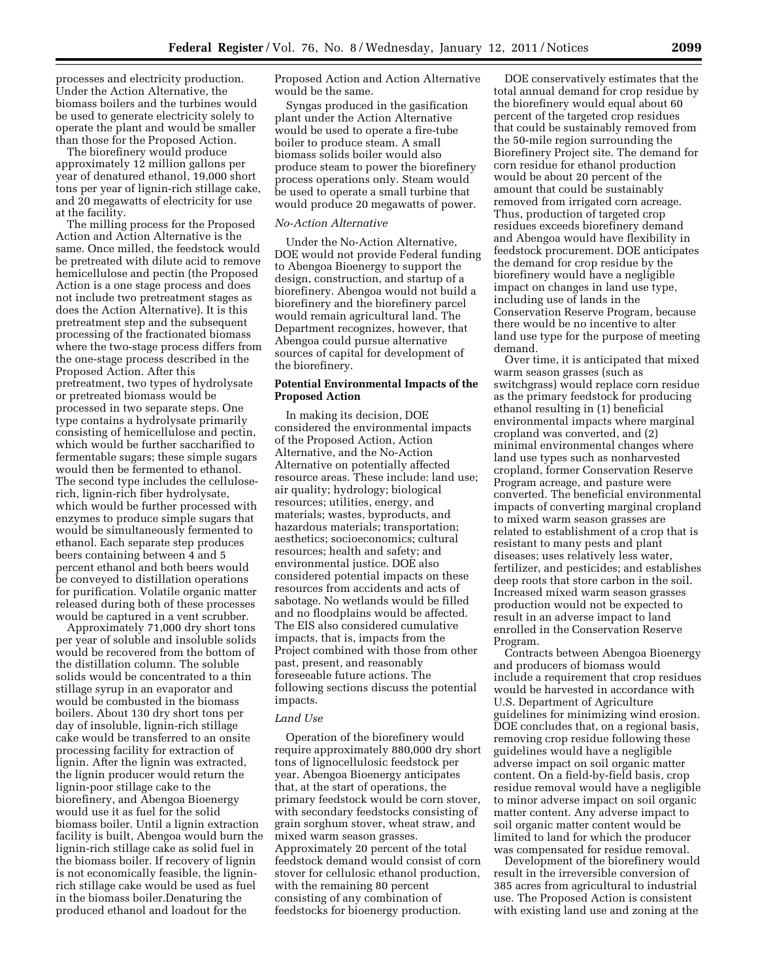processes and electricity production. Under the Action Alternative, the biomass boilers and the turbines would be used to generate electricity solely to operate the plant and would be smaller than those for the Proposed Action.

The biorefinery would produce approximately 12 million gallons per year of denatured ethanol, 19,000 short tons per year of lignin-rich stillage cake, and 20 megawatts of electricity for use at the facility.

The milling process for the Proposed Action and Action Alternative is the same. Once milled, the feedstock would be pretreated with dilute acid to remove hemicellulose and pectin (the Proposed Action is a one stage process and does not include two pretreatment stages as does the Action Alternative). It is this pretreatment step and the subsequent processing of the fractionated biomass where the two-stage process differs from the one-stage process described in the Proposed Action. After this pretreatment, two types of hydrolysate or pretreated biomass would be processed in two separate steps. One type contains a hydrolysate primarily consisting of hemicellulose and pectin, which would be further saccharified to fermentable sugars; these simple sugars would then be fermented to ethanol. The second type includes the celluloserich, lignin-rich fiber hydrolysate, which would be further processed with enzymes to produce simple sugars that would be simultaneously fermented to ethanol. Each separate step produces beers containing between 4 and 5 percent ethanol and both beers would be conveyed to distillation operations for purification. Volatile organic matter released during both of these processes would be captured in a vent scrubber.

Approximately 71,000 dry short tons per year of soluble and insoluble solids would be recovered from the bottom of the distillation column. The soluble solids would be concentrated to a thin stillage syrup in an evaporator and would be combusted in the biomass boilers. About 130 dry short tons per day of insoluble, lignin-rich stillage cake would be transferred to an onsite processing facility for extraction of lignin. After the lignin was extracted, the lignin producer would return the lignin-poor stillage cake to the biorefinery, and Abengoa Bioenergy would use it as fuel for the solid biomass boiler. Until a lignin extraction facility is built, Abengoa would burn the lignin-rich stillage cake as solid fuel in the biomass boiler. If recovery of lignin is not economically feasible, the ligninrich stillage cake would be used as fuel in the biomass boiler.Denaturing the produced ethanol and loadout for the

Proposed Action and Action Alternative would be the same.

Syngas produced in the gasification plant under the Action Alternative would be used to operate a fire-tube boiler to produce steam. A small biomass solids boiler would also produce steam to power the biorefinery process operations only. Steam would be used to operate a small turbine that would produce 20 megawatts of power.

## *No-Action Alternative*

Under the No-Action Alternative, DOE would not provide Federal funding to Abengoa Bioenergy to support the design, construction, and startup of a biorefinery. Abengoa would not build a biorefinery and the biorefinery parcel would remain agricultural land. The Department recognizes, however, that Abengoa could pursue alternative sources of capital for development of the biorefinery.

### **Potential Environmental Impacts of the Proposed Action**

In making its decision, DOE considered the environmental impacts of the Proposed Action, Action Alternative, and the No-Action Alternative on potentially affected resource areas. These include: land use; air quality; hydrology; biological resources; utilities, energy, and materials; wastes, byproducts, and hazardous materials; transportation; aesthetics; socioeconomics; cultural resources; health and safety; and environmental justice. DOE also considered potential impacts on these resources from accidents and acts of sabotage. No wetlands would be filled and no floodplains would be affected. The EIS also considered cumulative impacts, that is, impacts from the Project combined with those from other past, present, and reasonably foreseeable future actions. The following sections discuss the potential impacts.

#### *Land Use*

Operation of the biorefinery would require approximately 880,000 dry short tons of lignocellulosic feedstock per year. Abengoa Bioenergy anticipates that, at the start of operations, the primary feedstock would be corn stover, with secondary feedstocks consisting of grain sorghum stover, wheat straw, and mixed warm season grasses. Approximately 20 percent of the total feedstock demand would consist of corn stover for cellulosic ethanol production, with the remaining 80 percent consisting of any combination of feedstocks for bioenergy production.

DOE conservatively estimates that the total annual demand for crop residue by the biorefinery would equal about 60 percent of the targeted crop residues that could be sustainably removed from the 50-mile region surrounding the Biorefinery Project site. The demand for corn residue for ethanol production would be about 20 percent of the amount that could be sustainably removed from irrigated corn acreage. Thus, production of targeted crop residues exceeds biorefinery demand and Abengoa would have flexibility in feedstock procurement. DOE anticipates the demand for crop residue by the biorefinery would have a negligible impact on changes in land use type, including use of lands in the Conservation Reserve Program, because there would be no incentive to alter land use type for the purpose of meeting demand.

Over time, it is anticipated that mixed warm season grasses (such as switchgrass) would replace corn residue as the primary feedstock for producing ethanol resulting in (1) beneficial environmental impacts where marginal cropland was converted, and (2) minimal environmental changes where land use types such as nonharvested cropland, former Conservation Reserve Program acreage, and pasture were converted. The beneficial environmental impacts of converting marginal cropland to mixed warm season grasses are related to establishment of a crop that is resistant to many pests and plant diseases; uses relatively less water, fertilizer, and pesticides; and establishes deep roots that store carbon in the soil. Increased mixed warm season grasses production would not be expected to result in an adverse impact to land enrolled in the Conservation Reserve Program.

Contracts between Abengoa Bioenergy and producers of biomass would include a requirement that crop residues would be harvested in accordance with U.S. Department of Agriculture guidelines for minimizing wind erosion. DOE concludes that, on a regional basis, removing crop residue following these guidelines would have a negligible adverse impact on soil organic matter content. On a field-by-field basis, crop residue removal would have a negligible to minor adverse impact on soil organic matter content. Any adverse impact to soil organic matter content would be limited to land for which the producer was compensated for residue removal.

Development of the biorefinery would result in the irreversible conversion of 385 acres from agricultural to industrial use. The Proposed Action is consistent with existing land use and zoning at the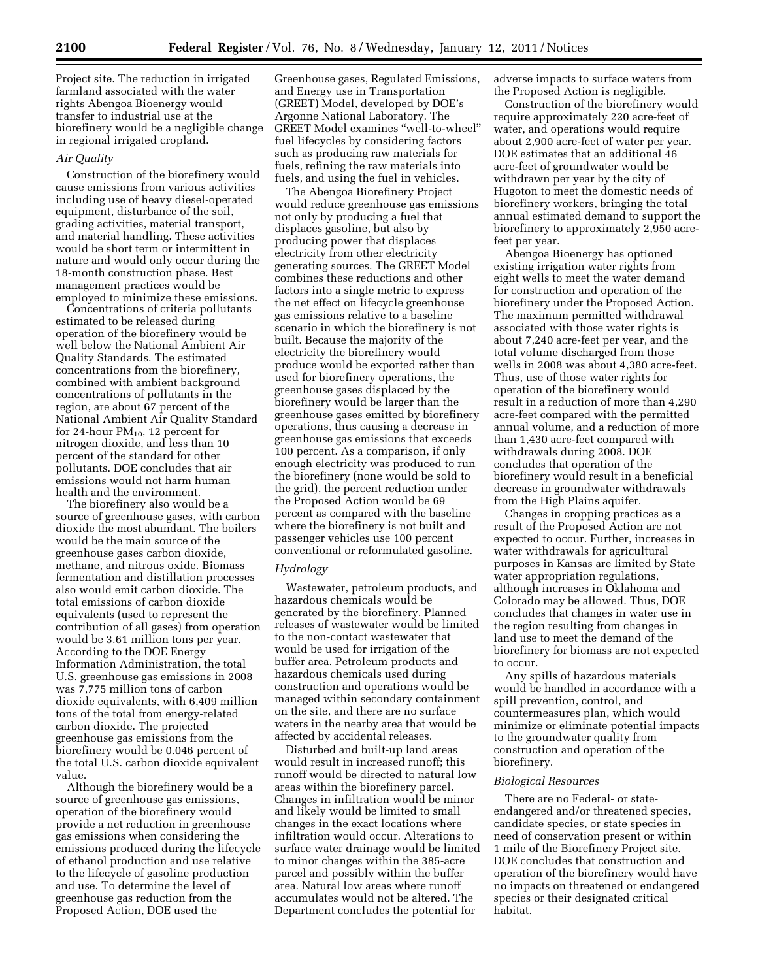Project site. The reduction in irrigated farmland associated with the water rights Abengoa Bioenergy would transfer to industrial use at the biorefinery would be a negligible change in regional irrigated cropland.

### *Air Quality*

Construction of the biorefinery would cause emissions from various activities including use of heavy diesel-operated equipment, disturbance of the soil, grading activities, material transport, and material handling. These activities would be short term or intermittent in nature and would only occur during the 18-month construction phase. Best management practices would be employed to minimize these emissions.

Concentrations of criteria pollutants estimated to be released during operation of the biorefinery would be well below the National Ambient Air Quality Standards. The estimated concentrations from the biorefinery, combined with ambient background concentrations of pollutants in the region, are about 67 percent of the National Ambient Air Quality Standard for 24-hour  $PM_{10}$ , 12 percent for nitrogen dioxide, and less than 10 percent of the standard for other pollutants. DOE concludes that air emissions would not harm human health and the environment.

The biorefinery also would be a source of greenhouse gases, with carbon dioxide the most abundant. The boilers would be the main source of the greenhouse gases carbon dioxide, methane, and nitrous oxide. Biomass fermentation and distillation processes also would emit carbon dioxide. The total emissions of carbon dioxide equivalents (used to represent the contribution of all gases) from operation would be 3.61 million tons per year. According to the DOE Energy Information Administration, the total U.S. greenhouse gas emissions in 2008 was 7,775 million tons of carbon dioxide equivalents, with 6,409 million tons of the total from energy-related carbon dioxide. The projected greenhouse gas emissions from the biorefinery would be 0.046 percent of the total U.S. carbon dioxide equivalent value.

Although the biorefinery would be a source of greenhouse gas emissions, operation of the biorefinery would provide a net reduction in greenhouse gas emissions when considering the emissions produced during the lifecycle of ethanol production and use relative to the lifecycle of gasoline production and use. To determine the level of greenhouse gas reduction from the Proposed Action, DOE used the

Greenhouse gases, Regulated Emissions, and Energy use in Transportation (GREET) Model, developed by DOE's Argonne National Laboratory. The GREET Model examines ''well-to-wheel'' fuel lifecycles by considering factors such as producing raw materials for fuels, refining the raw materials into fuels, and using the fuel in vehicles.

The Abengoa Biorefinery Project would reduce greenhouse gas emissions not only by producing a fuel that displaces gasoline, but also by producing power that displaces electricity from other electricity generating sources. The GREET Model combines these reductions and other factors into a single metric to express the net effect on lifecycle greenhouse gas emissions relative to a baseline scenario in which the biorefinery is not built. Because the majority of the electricity the biorefinery would produce would be exported rather than used for biorefinery operations, the greenhouse gases displaced by the biorefinery would be larger than the greenhouse gases emitted by biorefinery operations, thus causing a decrease in greenhouse gas emissions that exceeds 100 percent. As a comparison, if only enough electricity was produced to run the biorefinery (none would be sold to the grid), the percent reduction under the Proposed Action would be 69 percent as compared with the baseline where the biorefinery is not built and passenger vehicles use 100 percent conventional or reformulated gasoline.

## *Hydrology*

Wastewater, petroleum products, and hazardous chemicals would be generated by the biorefinery. Planned releases of wastewater would be limited to the non-contact wastewater that would be used for irrigation of the buffer area. Petroleum products and hazardous chemicals used during construction and operations would be managed within secondary containment on the site, and there are no surface waters in the nearby area that would be affected by accidental releases.

Disturbed and built-up land areas would result in increased runoff; this runoff would be directed to natural low areas within the biorefinery parcel. Changes in infiltration would be minor and likely would be limited to small changes in the exact locations where infiltration would occur. Alterations to surface water drainage would be limited to minor changes within the 385-acre parcel and possibly within the buffer area. Natural low areas where runoff accumulates would not be altered. The Department concludes the potential for

adverse impacts to surface waters from the Proposed Action is negligible.

Construction of the biorefinery would require approximately 220 acre-feet of water, and operations would require about 2,900 acre-feet of water per year. DOE estimates that an additional 46 acre-feet of groundwater would be withdrawn per year by the city of Hugoton to meet the domestic needs of biorefinery workers, bringing the total annual estimated demand to support the biorefinery to approximately 2,950 acrefeet per year.

Abengoa Bioenergy has optioned existing irrigation water rights from eight wells to meet the water demand for construction and operation of the biorefinery under the Proposed Action. The maximum permitted withdrawal associated with those water rights is about 7,240 acre-feet per year, and the total volume discharged from those wells in 2008 was about 4,380 acre-feet. Thus, use of those water rights for operation of the biorefinery would result in a reduction of more than 4,290 acre-feet compared with the permitted annual volume, and a reduction of more than 1,430 acre-feet compared with withdrawals during 2008. DOE concludes that operation of the biorefinery would result in a beneficial decrease in groundwater withdrawals from the High Plains aquifer.

Changes in cropping practices as a result of the Proposed Action are not expected to occur. Further, increases in water withdrawals for agricultural purposes in Kansas are limited by State water appropriation regulations, although increases in Oklahoma and Colorado may be allowed. Thus, DOE concludes that changes in water use in the region resulting from changes in land use to meet the demand of the biorefinery for biomass are not expected to occur.

Any spills of hazardous materials would be handled in accordance with a spill prevention, control, and countermeasures plan, which would minimize or eliminate potential impacts to the groundwater quality from construction and operation of the biorefinery.

## *Biological Resources*

There are no Federal- or stateendangered and/or threatened species, candidate species, or state species in need of conservation present or within 1 mile of the Biorefinery Project site. DOE concludes that construction and operation of the biorefinery would have no impacts on threatened or endangered species or their designated critical habitat.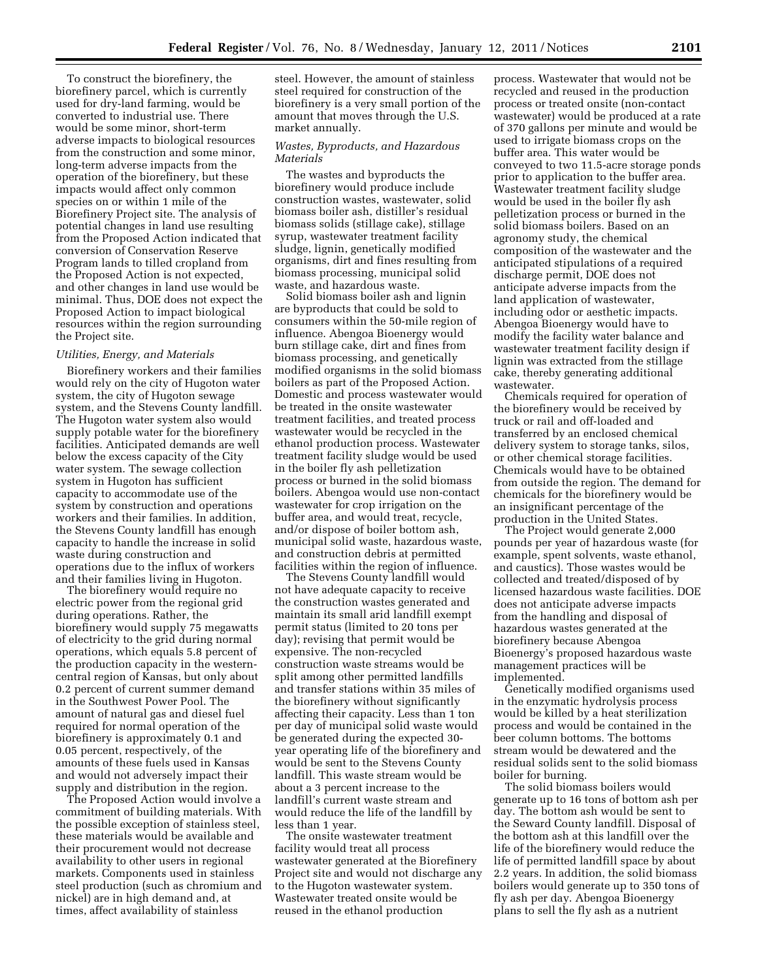To construct the biorefinery, the biorefinery parcel, which is currently used for dry-land farming, would be converted to industrial use. There would be some minor, short-term adverse impacts to biological resources from the construction and some minor, long-term adverse impacts from the operation of the biorefinery, but these impacts would affect only common species on or within 1 mile of the Biorefinery Project site. The analysis of potential changes in land use resulting from the Proposed Action indicated that conversion of Conservation Reserve Program lands to tilled cropland from the Proposed Action is not expected, and other changes in land use would be minimal. Thus, DOE does not expect the Proposed Action to impact biological resources within the region surrounding the Project site.

#### *Utilities, Energy, and Materials*

Biorefinery workers and their families would rely on the city of Hugoton water system, the city of Hugoton sewage system, and the Stevens County landfill. The Hugoton water system also would supply potable water for the biorefinery facilities. Anticipated demands are well below the excess capacity of the City water system. The sewage collection system in Hugoton has sufficient capacity to accommodate use of the system by construction and operations workers and their families. In addition, the Stevens County landfill has enough capacity to handle the increase in solid waste during construction and operations due to the influx of workers and their families living in Hugoton.

The biorefinery would require no electric power from the regional grid during operations. Rather, the biorefinery would supply 75 megawatts of electricity to the grid during normal operations, which equals 5.8 percent of the production capacity in the westerncentral region of Kansas, but only about 0.2 percent of current summer demand in the Southwest Power Pool. The amount of natural gas and diesel fuel required for normal operation of the biorefinery is approximately 0.1 and 0.05 percent, respectively, of the amounts of these fuels used in Kansas and would not adversely impact their supply and distribution in the region.

The Proposed Action would involve a commitment of building materials. With the possible exception of stainless steel, these materials would be available and their procurement would not decrease availability to other users in regional markets. Components used in stainless steel production (such as chromium and nickel) are in high demand and, at times, affect availability of stainless

steel. However, the amount of stainless steel required for construction of the biorefinery is a very small portion of the amount that moves through the U.S. market annually.

## *Wastes, Byproducts, and Hazardous Materials*

The wastes and byproducts the biorefinery would produce include construction wastes, wastewater, solid biomass boiler ash, distiller's residual biomass solids (stillage cake), stillage syrup, wastewater treatment facility sludge, lignin, genetically modified organisms, dirt and fines resulting from biomass processing, municipal solid waste, and hazardous waste.

Solid biomass boiler ash and lignin are byproducts that could be sold to consumers within the 50-mile region of influence. Abengoa Bioenergy would burn stillage cake, dirt and fines from biomass processing, and genetically modified organisms in the solid biomass boilers as part of the Proposed Action. Domestic and process wastewater would be treated in the onsite wastewater treatment facilities, and treated process wastewater would be recycled in the ethanol production process. Wastewater treatment facility sludge would be used in the boiler fly ash pelletization process or burned in the solid biomass boilers. Abengoa would use non-contact wastewater for crop irrigation on the buffer area, and would treat, recycle, and/or dispose of boiler bottom ash, municipal solid waste, hazardous waste, and construction debris at permitted facilities within the region of influence.

The Stevens County landfill would not have adequate capacity to receive the construction wastes generated and maintain its small arid landfill exempt permit status (limited to 20 tons per day); revising that permit would be expensive. The non-recycled construction waste streams would be split among other permitted landfills and transfer stations within 35 miles of the biorefinery without significantly affecting their capacity. Less than 1 ton per day of municipal solid waste would be generated during the expected 30 year operating life of the biorefinery and would be sent to the Stevens County landfill. This waste stream would be about a 3 percent increase to the landfill's current waste stream and would reduce the life of the landfill by less than 1 year.

The onsite wastewater treatment facility would treat all process wastewater generated at the Biorefinery Project site and would not discharge any to the Hugoton wastewater system. Wastewater treated onsite would be reused in the ethanol production

process. Wastewater that would not be recycled and reused in the production process or treated onsite (non-contact wastewater) would be produced at a rate of 370 gallons per minute and would be used to irrigate biomass crops on the buffer area. This water would be conveyed to two 11.5-acre storage ponds prior to application to the buffer area. Wastewater treatment facility sludge would be used in the boiler fly ash pelletization process or burned in the solid biomass boilers. Based on an agronomy study, the chemical composition of the wastewater and the anticipated stipulations of a required discharge permit, DOE does not anticipate adverse impacts from the land application of wastewater, including odor or aesthetic impacts. Abengoa Bioenergy would have to modify the facility water balance and wastewater treatment facility design if lignin was extracted from the stillage cake, thereby generating additional wastewater.

Chemicals required for operation of the biorefinery would be received by truck or rail and off-loaded and transferred by an enclosed chemical delivery system to storage tanks, silos, or other chemical storage facilities. Chemicals would have to be obtained from outside the region. The demand for chemicals for the biorefinery would be an insignificant percentage of the production in the United States.

The Project would generate 2,000 pounds per year of hazardous waste (for example, spent solvents, waste ethanol, and caustics). Those wastes would be collected and treated/disposed of by licensed hazardous waste facilities. DOE does not anticipate adverse impacts from the handling and disposal of hazardous wastes generated at the biorefinery because Abengoa Bioenergy's proposed hazardous waste management practices will be implemented.

Genetically modified organisms used in the enzymatic hydrolysis process would be killed by a heat sterilization process and would be contained in the beer column bottoms. The bottoms stream would be dewatered and the residual solids sent to the solid biomass boiler for burning.

The solid biomass boilers would generate up to 16 tons of bottom ash per day. The bottom ash would be sent to the Seward County landfill. Disposal of the bottom ash at this landfill over the life of the biorefinery would reduce the life of permitted landfill space by about 2.2 years. In addition, the solid biomass boilers would generate up to 350 tons of fly ash per day. Abengoa Bioenergy plans to sell the fly ash as a nutrient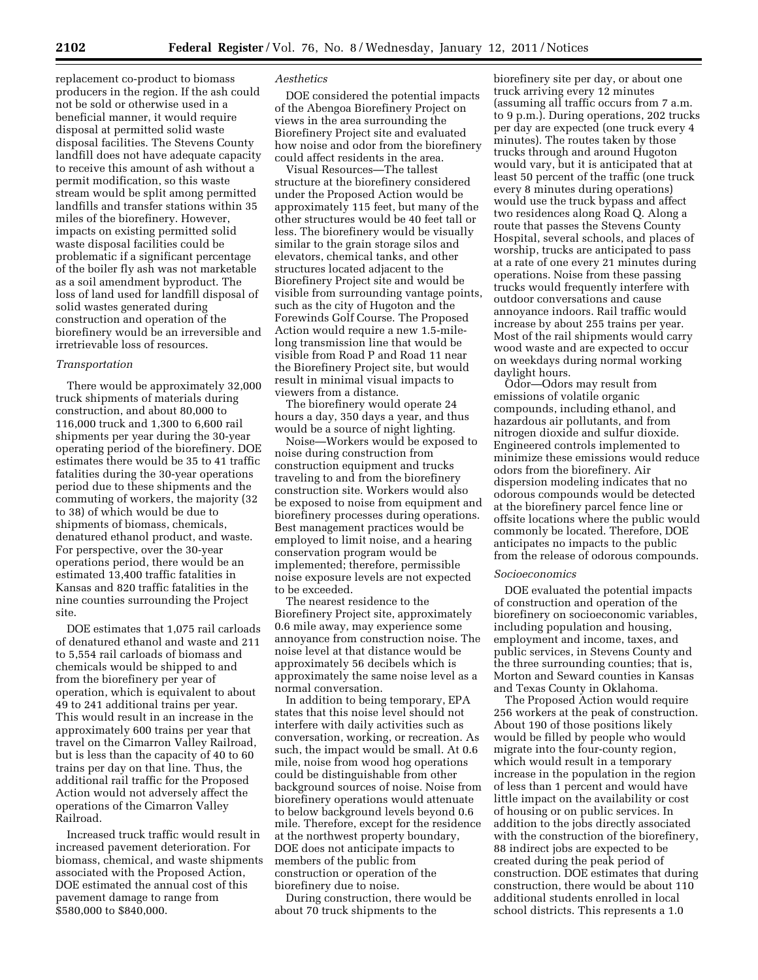replacement co-product to biomass producers in the region. If the ash could not be sold or otherwise used in a beneficial manner, it would require disposal at permitted solid waste disposal facilities. The Stevens County landfill does not have adequate capacity to receive this amount of ash without a permit modification, so this waste stream would be split among permitted landfills and transfer stations within 35 miles of the biorefinery. However, impacts on existing permitted solid waste disposal facilities could be problematic if a significant percentage of the boiler fly ash was not marketable as a soil amendment byproduct. The loss of land used for landfill disposal of solid wastes generated during construction and operation of the biorefinery would be an irreversible and irretrievable loss of resources.

## *Transportation*

There would be approximately 32,000 truck shipments of materials during construction, and about 80,000 to 116,000 truck and 1,300 to 6,600 rail shipments per year during the 30-year operating period of the biorefinery. DOE estimates there would be 35 to 41 traffic fatalities during the 30-year operations period due to these shipments and the commuting of workers, the majority (32 to 38) of which would be due to shipments of biomass, chemicals, denatured ethanol product, and waste. For perspective, over the 30-year operations period, there would be an estimated 13,400 traffic fatalities in Kansas and 820 traffic fatalities in the nine counties surrounding the Project site.

DOE estimates that 1,075 rail carloads of denatured ethanol and waste and 211 to 5,554 rail carloads of biomass and chemicals would be shipped to and from the biorefinery per year of operation, which is equivalent to about 49 to 241 additional trains per year. This would result in an increase in the approximately 600 trains per year that travel on the Cimarron Valley Railroad, but is less than the capacity of 40 to 60 trains per day on that line. Thus, the additional rail traffic for the Proposed Action would not adversely affect the operations of the Cimarron Valley Railroad.

Increased truck traffic would result in increased pavement deterioration. For biomass, chemical, and waste shipments associated with the Proposed Action, DOE estimated the annual cost of this pavement damage to range from \$580,000 to \$840,000.

## *Aesthetics*

DOE considered the potential impacts of the Abengoa Biorefinery Project on views in the area surrounding the Biorefinery Project site and evaluated how noise and odor from the biorefinery could affect residents in the area.

Visual Resources—The tallest structure at the biorefinery considered under the Proposed Action would be approximately 115 feet, but many of the other structures would be 40 feet tall or less. The biorefinery would be visually similar to the grain storage silos and elevators, chemical tanks, and other structures located adjacent to the Biorefinery Project site and would be visible from surrounding vantage points, such as the city of Hugoton and the Forewinds Golf Course. The Proposed Action would require a new 1.5-milelong transmission line that would be visible from Road P and Road 11 near the Biorefinery Project site, but would result in minimal visual impacts to viewers from a distance.

The biorefinery would operate 24 hours a day, 350 days a year, and thus would be a source of night lighting.

Noise—Workers would be exposed to noise during construction from construction equipment and trucks traveling to and from the biorefinery construction site. Workers would also be exposed to noise from equipment and biorefinery processes during operations. Best management practices would be employed to limit noise, and a hearing conservation program would be implemented; therefore, permissible noise exposure levels are not expected to be exceeded.

The nearest residence to the Biorefinery Project site, approximately 0.6 mile away, may experience some annoyance from construction noise. The noise level at that distance would be approximately 56 decibels which is approximately the same noise level as a normal conversation.

In addition to being temporary, EPA states that this noise level should not interfere with daily activities such as conversation, working, or recreation. As such, the impact would be small. At 0.6 mile, noise from wood hog operations could be distinguishable from other background sources of noise. Noise from biorefinery operations would attenuate to below background levels beyond 0.6 mile. Therefore, except for the residence at the northwest property boundary, DOE does not anticipate impacts to members of the public from construction or operation of the biorefinery due to noise.

During construction, there would be about 70 truck shipments to the

biorefinery site per day, or about one truck arriving every 12 minutes (assuming all traffic occurs from 7 a.m. to 9 p.m.). During operations, 202 trucks per day are expected (one truck every 4 minutes). The routes taken by those trucks through and around Hugoton would vary, but it is anticipated that at least 50 percent of the traffic (one truck every 8 minutes during operations) would use the truck bypass and affect two residences along Road Q. Along a route that passes the Stevens County Hospital, several schools, and places of worship, trucks are anticipated to pass at a rate of one every 21 minutes during operations. Noise from these passing trucks would frequently interfere with outdoor conversations and cause annoyance indoors. Rail traffic would increase by about 255 trains per year. Most of the rail shipments would carry wood waste and are expected to occur on weekdays during normal working daylight hours.

Odor—Odors may result from emissions of volatile organic compounds, including ethanol, and hazardous air pollutants, and from nitrogen dioxide and sulfur dioxide. Engineered controls implemented to minimize these emissions would reduce odors from the biorefinery. Air dispersion modeling indicates that no odorous compounds would be detected at the biorefinery parcel fence line or offsite locations where the public would commonly be located. Therefore, DOE anticipates no impacts to the public from the release of odorous compounds.

#### *Socioeconomics*

DOE evaluated the potential impacts of construction and operation of the biorefinery on socioeconomic variables, including population and housing, employment and income, taxes, and public services, in Stevens County and the three surrounding counties; that is, Morton and Seward counties in Kansas and Texas County in Oklahoma.

The Proposed Action would require 256 workers at the peak of construction. About 190 of those positions likely would be filled by people who would migrate into the four-county region, which would result in a temporary increase in the population in the region of less than 1 percent and would have little impact on the availability or cost of housing or on public services. In addition to the jobs directly associated with the construction of the biorefinery, 88 indirect jobs are expected to be created during the peak period of construction. DOE estimates that during construction, there would be about 110 additional students enrolled in local school districts. This represents a 1.0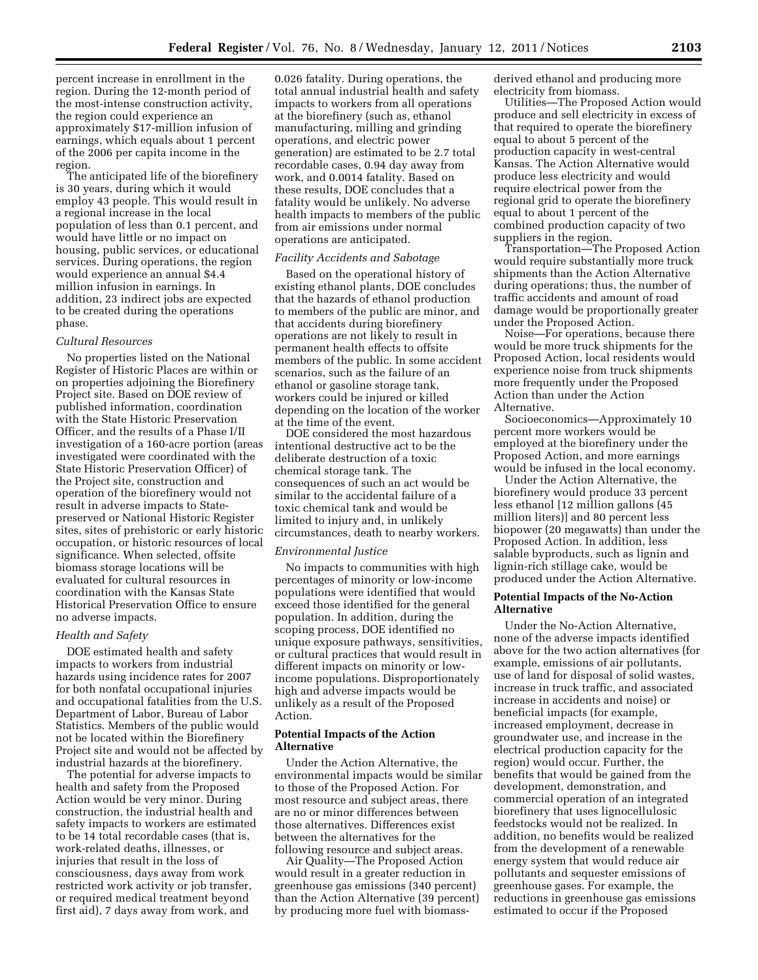percent increase in enrollment in the region. During the 12-month period of the most-intense construction activity, the region could experience an approximately \$17-million infusion of earnings, which equals about 1 percent of the 2006 per capita income in the region.

The anticipated life of the biorefinery is 30 years, during which it would employ 43 people. This would result in a regional increase in the local population of less than 0.1 percent, and would have little or no impact on housing, public services, or educational services. During operations, the region would experience an annual \$4.4 million infusion in earnings. In addition, 23 indirect jobs are expected to be created during the operations phase.

#### *Cultural Resources*

No properties listed on the National Register of Historic Places are within or on properties adjoining the Biorefinery Project site. Based on DOE review of published information, coordination with the State Historic Preservation Officer, and the results of a Phase I/II investigation of a 160-acre portion (areas investigated were coordinated with the State Historic Preservation Officer) of the Project site, construction and operation of the biorefinery would not result in adverse impacts to Statepreserved or National Historic Register sites, sites of prehistoric or early historic occupation, or historic resources of local significance. When selected, offsite biomass storage locations will be evaluated for cultural resources in coordination with the Kansas State Historical Preservation Office to ensure no adverse impacts.

## *Health and Safety*

DOE estimated health and safety impacts to workers from industrial hazards using incidence rates for 2007 for both nonfatal occupational injuries and occupational fatalities from the U.S. Department of Labor, Bureau of Labor Statistics. Members of the public would not be located within the Biorefinery Project site and would not be affected by industrial hazards at the biorefinery.

The potential for adverse impacts to health and safety from the Proposed Action would be very minor. During construction, the industrial health and safety impacts to workers are estimated to be 14 total recordable cases (that is, work-related deaths, illnesses, or injuries that result in the loss of consciousness, days away from work restricted work activity or job transfer, or required medical treatment beyond first aid), 7 days away from work, and

0.026 fatality. During operations, the total annual industrial health and safety impacts to workers from all operations at the biorefinery (such as, ethanol manufacturing, milling and grinding operations, and electric power generation) are estimated to be 2.7 total recordable cases, 0.94 day away from work, and 0.0014 fatality. Based on these results, DOE concludes that a fatality would be unlikely. No adverse health impacts to members of the public from air emissions under normal operations are anticipated.

### *Facility Accidents and Sabotage*

Based on the operational history of existing ethanol plants, DOE concludes that the hazards of ethanol production to members of the public are minor, and that accidents during biorefinery operations are not likely to result in permanent health effects to offsite members of the public. In some accident scenarios, such as the failure of an ethanol or gasoline storage tank, workers could be injured or killed depending on the location of the worker at the time of the event.

DOE considered the most hazardous intentional destructive act to be the deliberate destruction of a toxic chemical storage tank. The consequences of such an act would be similar to the accidental failure of a toxic chemical tank and would be limited to injury and, in unlikely circumstances, death to nearby workers.

## *Environmental Justice*

No impacts to communities with high percentages of minority or low-income populations were identified that would exceed those identified for the general population. In addition, during the scoping process, DOE identified no unique exposure pathways, sensitivities, or cultural practices that would result in different impacts on minority or lowincome populations. Disproportionately high and adverse impacts would be unlikely as a result of the Proposed Action.

## **Potential Impacts of the Action Alternative**

Under the Action Alternative, the environmental impacts would be similar to those of the Proposed Action. For most resource and subject areas, there are no or minor differences between those alternatives. Differences exist between the alternatives for the following resource and subject areas.

Air Quality—The Proposed Action would result in a greater reduction in greenhouse gas emissions (340 percent) than the Action Alternative (39 percent) by producing more fuel with biomass-

derived ethanol and producing more electricity from biomass.

Utilities—The Proposed Action would produce and sell electricity in excess of that required to operate the biorefinery equal to about 5 percent of the production capacity in west-central Kansas. The Action Alternative would produce less electricity and would require electrical power from the regional grid to operate the biorefinery equal to about 1 percent of the combined production capacity of two suppliers in the region.

Transportation—The Proposed Action would require substantially more truck shipments than the Action Alternative during operations; thus, the number of traffic accidents and amount of road damage would be proportionally greater under the Proposed Action.

Noise—For operations, because there would be more truck shipments for the Proposed Action, local residents would experience noise from truck shipments more frequently under the Proposed Action than under the Action Alternative.

Socioeconomics—Approximately 10 percent more workers would be employed at the biorefinery under the Proposed Action, and more earnings would be infused in the local economy.

Under the Action Alternative, the biorefinery would produce 33 percent less ethanol [12 million gallons (45 million liters)] and 80 percent less biopower (20 megawatts) than under the Proposed Action. In addition, less salable byproducts, such as lignin and lignin-rich stillage cake, would be produced under the Action Alternative.

## **Potential Impacts of the No-Action Alternative**

Under the No-Action Alternative, none of the adverse impacts identified above for the two action alternatives (for example, emissions of air pollutants, use of land for disposal of solid wastes, increase in truck traffic, and associated increase in accidents and noise) or beneficial impacts (for example, increased employment, decrease in groundwater use, and increase in the electrical production capacity for the region) would occur. Further, the benefits that would be gained from the development, demonstration, and commercial operation of an integrated biorefinery that uses lignocellulosic feedstocks would not be realized. In addition, no benefits would be realized from the development of a renewable energy system that would reduce air pollutants and sequester emissions of greenhouse gases. For example, the reductions in greenhouse gas emissions estimated to occur if the Proposed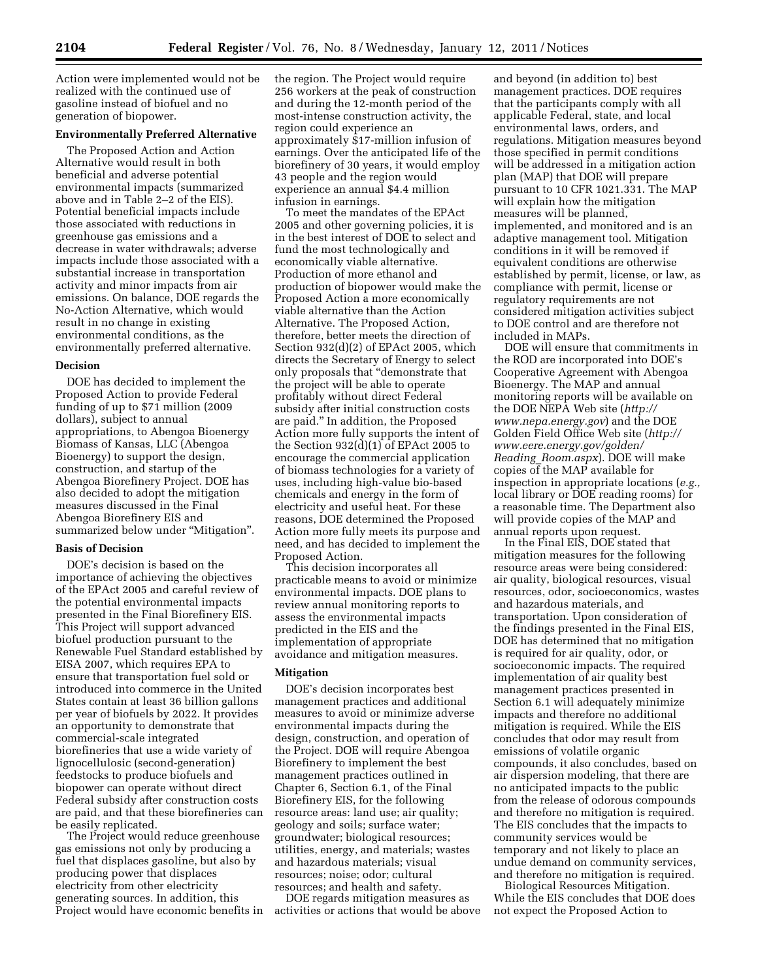Action were implemented would not be realized with the continued use of gasoline instead of biofuel and no generation of biopower.

## **Environmentally Preferred Alternative**

The Proposed Action and Action Alternative would result in both beneficial and adverse potential environmental impacts (summarized above and in Table 2–2 of the EIS). Potential beneficial impacts include those associated with reductions in greenhouse gas emissions and a decrease in water withdrawals; adverse impacts include those associated with a substantial increase in transportation activity and minor impacts from air emissions. On balance, DOE regards the No-Action Alternative, which would result in no change in existing environmental conditions, as the environmentally preferred alternative.

### **Decision**

DOE has decided to implement the Proposed Action to provide Federal funding of up to \$71 million (2009 dollars), subject to annual appropriations, to Abengoa Bioenergy Biomass of Kansas, LLC (Abengoa Bioenergy) to support the design, construction, and startup of the Abengoa Biorefinery Project. DOE has also decided to adopt the mitigation measures discussed in the Final Abengoa Biorefinery EIS and summarized below under "Mitigation".

### **Basis of Decision**

DOE's decision is based on the importance of achieving the objectives of the EPAct 2005 and careful review of the potential environmental impacts presented in the Final Biorefinery EIS. This Project will support advanced biofuel production pursuant to the Renewable Fuel Standard established by EISA 2007, which requires EPA to ensure that transportation fuel sold or introduced into commerce in the United States contain at least 36 billion gallons per year of biofuels by 2022. It provides an opportunity to demonstrate that commercial-scale integrated biorefineries that use a wide variety of lignocellulosic (second-generation) feedstocks to produce biofuels and biopower can operate without direct Federal subsidy after construction costs are paid, and that these biorefineries can be easily replicated.

The Project would reduce greenhouse gas emissions not only by producing a fuel that displaces gasoline, but also by producing power that displaces electricity from other electricity generating sources. In addition, this Project would have economic benefits in the region. The Project would require 256 workers at the peak of construction and during the 12-month period of the most-intense construction activity, the region could experience an approximately \$17-million infusion of earnings. Over the anticipated life of the biorefinery of 30 years, it would employ 43 people and the region would experience an annual \$4.4 million infusion in earnings.

To meet the mandates of the EPAct 2005 and other governing policies, it is in the best interest of DOE to select and fund the most technologically and economically viable alternative. Production of more ethanol and production of biopower would make the Proposed Action a more economically viable alternative than the Action Alternative. The Proposed Action, therefore, better meets the direction of Section 932(d)(2) of EPAct 2005, which directs the Secretary of Energy to select only proposals that ''demonstrate that the project will be able to operate profitably without direct Federal subsidy after initial construction costs are paid.'' In addition, the Proposed Action more fully supports the intent of the Section 932(d)(1) of EPAct 2005 to encourage the commercial application of biomass technologies for a variety of uses, including high-value bio-based chemicals and energy in the form of electricity and useful heat. For these reasons, DOE determined the Proposed Action more fully meets its purpose and need, and has decided to implement the Proposed Action.

This decision incorporates all practicable means to avoid or minimize environmental impacts. DOE plans to review annual monitoring reports to assess the environmental impacts predicted in the EIS and the implementation of appropriate avoidance and mitigation measures.

## **Mitigation**

DOE's decision incorporates best management practices and additional measures to avoid or minimize adverse environmental impacts during the design, construction, and operation of the Project. DOE will require Abengoa Biorefinery to implement the best management practices outlined in Chapter 6, Section 6.1, of the Final Biorefinery EIS, for the following resource areas: land use; air quality; geology and soils; surface water; groundwater; biological resources; utilities, energy, and materials; wastes and hazardous materials; visual resources; noise; odor; cultural resources; and health and safety.

DOE regards mitigation measures as activities or actions that would be above and beyond (in addition to) best management practices. DOE requires that the participants comply with all applicable Federal, state, and local environmental laws, orders, and regulations. Mitigation measures beyond those specified in permit conditions will be addressed in a mitigation action plan (MAP) that DOE will prepare pursuant to 10 CFR 1021.331. The MAP will explain how the mitigation measures will be planned, implemented, and monitored and is an adaptive management tool. Mitigation conditions in it will be removed if equivalent conditions are otherwise established by permit, license, or law, as compliance with permit, license or regulatory requirements are not considered mitigation activities subject to DOE control and are therefore not included in MAPs.

DOE will ensure that commitments in the ROD are incorporated into DOE's Cooperative Agreement with Abengoa Bioenergy. The MAP and annual monitoring reports will be available on the DOE NEPA Web site (*[http://](http://www.nepa.energy.gov)  [www.nepa.energy.gov](http://www.nepa.energy.gov)*) and the DOE Golden Field Office Web site (*[http://](http://www.eere.energy.gov/golden/Reading_Room.aspx) [www.eere.energy.gov/golden/](http://www.eere.energy.gov/golden/Reading_Room.aspx) Reading*\_*[Room.aspx](http://www.eere.energy.gov/golden/Reading_Room.aspx)*). DOE will make copies of the MAP available for inspection in appropriate locations (*e.g.,*  local library or DOE reading rooms) for a reasonable time. The Department also will provide copies of the MAP and annual reports upon request.

In the Final EIS, DOE stated that mitigation measures for the following resource areas were being considered: air quality, biological resources, visual resources, odor, socioeconomics, wastes and hazardous materials, and transportation. Upon consideration of the findings presented in the Final EIS, DOE has determined that no mitigation is required for air quality, odor, or socioeconomic impacts. The required implementation of air quality best management practices presented in Section 6.1 will adequately minimize impacts and therefore no additional mitigation is required. While the EIS concludes that odor may result from emissions of volatile organic compounds, it also concludes, based on air dispersion modeling, that there are no anticipated impacts to the public from the release of odorous compounds and therefore no mitigation is required. The EIS concludes that the impacts to community services would be temporary and not likely to place an undue demand on community services, and therefore no mitigation is required.

Biological Resources Mitigation. While the EIS concludes that DOE does not expect the Proposed Action to